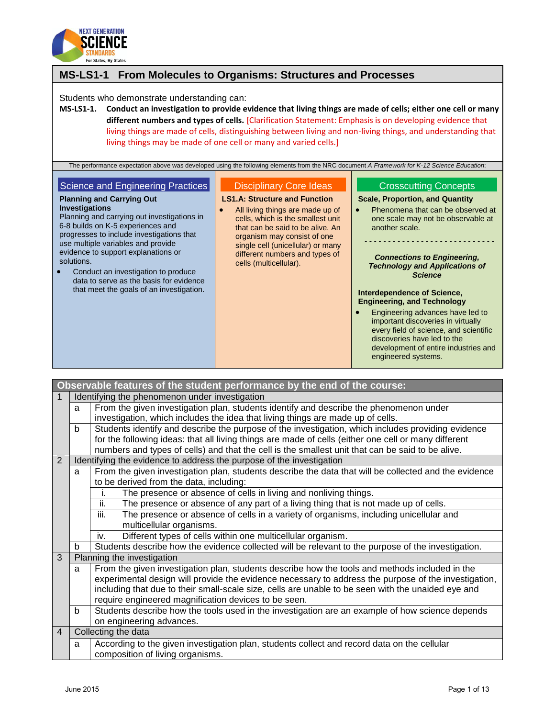

#### **MS-LS1-1 From Molecules to Organisms: Structures and Processes** Students who demonstrate understanding can: **MS-LS1-1. Conduct an investigation to provide evidence that living things are made of cells; either one cell or many different numbers and types of cells.** [Clarification Statement: Emphasis is on developing evidence that living things are made of cells, distinguishing between living and non-living things, and understanding that living things may be made of one cell or many and varied cells.] The performance expectation above was developed using the following elements from the NRC document *A Framework for K-12 Science Education*: Science and Engineering Practices **Planning and Carrying Out Investigations** Planning and carrying out investigations in 6-8 builds on K-5 experiences and progresses to include investigations that use multiple variables and provide evidence to support explanations or solutions. • Conduct an investigation to produce data to serve as the basis for evidence that meet the goals of an investigation. Disciplinary Core Ideas **LS1.A: Structure and Function** All living things are made up of cells, which is the smallest unit that can be said to be alive. An organism may consist of one single cell (unicellular) or many different numbers and types of cells (multicellular). Crosscutting Concepts **Scale, Proportion, and Quantity** • Phenomena that can be observed at one scale may not be observable at another scale. - - - - - - - - - - - - - - - - - - - - - - - - - - - - *Connections to Engineering, Technology and Applications of Science* **Interdependence of Science, Engineering, and Technology** Engineering advances have led to important discoveries in virtually every field of science, and scientific discoveries have led to the development of entire industries and engineered systems.

|                                                                                                         | Observable features of the student performance by the end of the course:                           |                                                                                                       |  |  |
|---------------------------------------------------------------------------------------------------------|----------------------------------------------------------------------------------------------------|-------------------------------------------------------------------------------------------------------|--|--|
| $\mathbf{1}$                                                                                            | Identifying the phenomenon under investigation                                                     |                                                                                                       |  |  |
|                                                                                                         | From the given investigation plan, students identify and describe the phenomenon under<br>a        |                                                                                                       |  |  |
| investigation, which includes the idea that living things are made up of cells.                         |                                                                                                    |                                                                                                       |  |  |
|                                                                                                         | $\mathbf b$                                                                                        | Students identify and describe the purpose of the investigation, which includes providing evidence    |  |  |
|                                                                                                         |                                                                                                    | for the following ideas: that all living things are made of cells (either one cell or many different  |  |  |
|                                                                                                         |                                                                                                    | numbers and types of cells) and that the cell is the smallest unit that can be said to be alive.      |  |  |
| 2                                                                                                       |                                                                                                    | Identifying the evidence to address the purpose of the investigation                                  |  |  |
|                                                                                                         | a                                                                                                  | From the given investigation plan, students describe the data that will be collected and the evidence |  |  |
|                                                                                                         |                                                                                                    | to be derived from the data, including:                                                               |  |  |
|                                                                                                         |                                                                                                    | The presence or absence of cells in living and nonliving things.<br>i.                                |  |  |
|                                                                                                         |                                                                                                    | The presence or absence of any part of a living thing that is not made up of cells.<br>ii.            |  |  |
|                                                                                                         |                                                                                                    | iii.<br>The presence or absence of cells in a variety of organisms, including unicellular and         |  |  |
|                                                                                                         | multicellular organisms.                                                                           |                                                                                                       |  |  |
|                                                                                                         | iv.<br>Different types of cells within one multicellular organism.                                 |                                                                                                       |  |  |
| Students describe how the evidence collected will be relevant to the purpose of the investigation.<br>b |                                                                                                    |                                                                                                       |  |  |
| 3                                                                                                       |                                                                                                    | Planning the investigation                                                                            |  |  |
|                                                                                                         | a                                                                                                  | From the given investigation plan, students describe how the tools and methods included in the        |  |  |
|                                                                                                         |                                                                                                    | experimental design will provide the evidence necessary to address the purpose of the investigation,  |  |  |
|                                                                                                         | including that due to their small-scale size, cells are unable to be seen with the unaided eye and |                                                                                                       |  |  |
|                                                                                                         | require engineered magnification devices to be seen.                                               |                                                                                                       |  |  |
|                                                                                                         | b                                                                                                  | Students describe how the tools used in the investigation are an example of how science depends       |  |  |
|                                                                                                         |                                                                                                    | on engineering advances.                                                                              |  |  |
| $\overline{4}$                                                                                          |                                                                                                    | Collecting the data                                                                                   |  |  |
|                                                                                                         | a                                                                                                  | According to the given investigation plan, students collect and record data on the cellular           |  |  |
|                                                                                                         |                                                                                                    | composition of living organisms.                                                                      |  |  |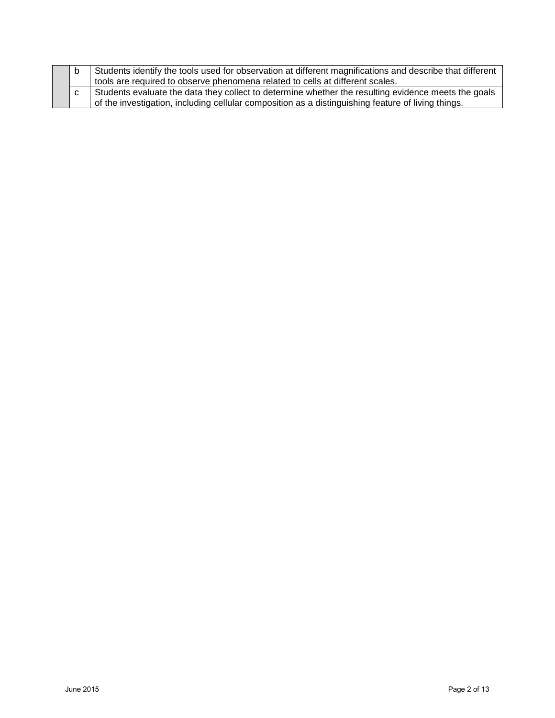|  | Students identify the tools used for observation at different magnifications and describe that different                                                                                                  |  |  |  |  |
|--|-----------------------------------------------------------------------------------------------------------------------------------------------------------------------------------------------------------|--|--|--|--|
|  | tools are required to observe phenomena related to cells at different scales.                                                                                                                             |  |  |  |  |
|  | Students evaluate the data they collect to determine whether the resulting evidence meets the goals<br>of the investigation, including cellular composition as a distinguishing feature of living things. |  |  |  |  |
|  |                                                                                                                                                                                                           |  |  |  |  |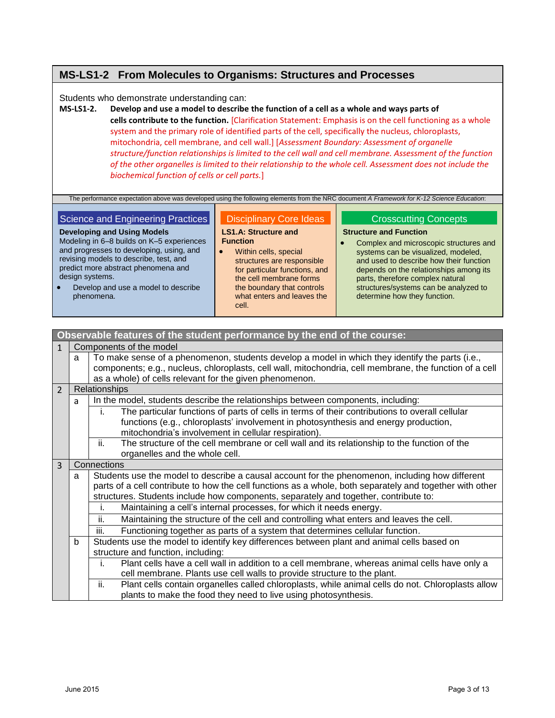# **MS-LS1-2 From Molecules to Organisms: Structures and Processes**

Students who demonstrate understanding can:

**MS-LS1-2. Develop and use a model to describe the function of a cell as a whole and ways parts of cells contribute to the function.** [Clarification Statement: Emphasis is on the cell functioning as a whole system and the primary role of identified parts of the cell, specifically the nucleus, chloroplasts, mitochondria, cell membrane, and cell wall.] [*Assessment Boundary: Assessment of organelle structure/function relationships is limited to the cell wall and cell membrane. Assessment of the function of the other organelles is limited to their relationship to the whole cell. Assessment does not include the biochemical function of cells or cell parts.*]

The performance expectation above was developed using the following elements from the NRC document *A Framework for K-12 Science Education*:

### Science and Engineering Practices

**Developing and Using Models** Modeling in 6–8 builds on K–5 experiences and progresses to developing, using, and revising models to describe, test, and predict more abstract phenomena and design systems.

• Develop and use a model to describe phenomena.

### Disciplinary Core Ideas

#### **LS1.A: Structure and Function**

 Within cells, special structures are responsible for particular functions, and the cell membrane forms the boundary that controls what enters and leaves the cell.

### Crosscutting Concepts

#### **Structure and Function**

• Complex and microscopic structures and systems can be visualized, modeled, and used to describe how their function depends on the relationships among its parts, therefore complex natural structures/systems can be analyzed to determine how they function.

|                                    | Observable features of the student performance by the end of the course:                             |                                                                                                          |  |  |  |
|------------------------------------|------------------------------------------------------------------------------------------------------|----------------------------------------------------------------------------------------------------------|--|--|--|
| $\mathbf{1}$                       |                                                                                                      | Components of the model                                                                                  |  |  |  |
|                                    | a                                                                                                    | To make sense of a phenomenon, students develop a model in which they identify the parts (i.e.,          |  |  |  |
|                                    |                                                                                                      | components; e.g., nucleus, chloroplasts, cell wall, mitochondria, cell membrane, the function of a cell  |  |  |  |
|                                    | as a whole) of cells relevant for the given phenomenon.                                              |                                                                                                          |  |  |  |
| $\overline{2}$                     | Relationships                                                                                        |                                                                                                          |  |  |  |
|                                    | a                                                                                                    | In the model, students describe the relationships between components, including:                         |  |  |  |
|                                    |                                                                                                      | The particular functions of parts of cells in terms of their contributions to overall cellular<br>i.     |  |  |  |
|                                    |                                                                                                      | functions (e.g., chloroplasts' involvement in photosynthesis and energy production,                      |  |  |  |
|                                    |                                                                                                      | mitochondria's involvement in cellular respiration).                                                     |  |  |  |
|                                    |                                                                                                      | The structure of the cell membrane or cell wall and its relationship to the function of the<br>ii.       |  |  |  |
|                                    |                                                                                                      | organelles and the whole cell.                                                                           |  |  |  |
| $\mathbf{R}$                       | Connections                                                                                          |                                                                                                          |  |  |  |
|                                    | Students use the model to describe a causal account for the phenomenon, including how different<br>a |                                                                                                          |  |  |  |
|                                    |                                                                                                      | parts of a cell contribute to how the cell functions as a whole, both separately and together with other |  |  |  |
|                                    | structures. Students include how components, separately and together, contribute to:                 |                                                                                                          |  |  |  |
|                                    | Maintaining a cell's internal processes, for which it needs energy.<br>İ.                            |                                                                                                          |  |  |  |
|                                    |                                                                                                      | ii.<br>Maintaining the structure of the cell and controlling what enters and leaves the cell.            |  |  |  |
|                                    | iii.<br>Functioning together as parts of a system that determines cellular function.                 |                                                                                                          |  |  |  |
|                                    | Students use the model to identify key differences between plant and animal cells based on<br>b      |                                                                                                          |  |  |  |
| structure and function, including: |                                                                                                      |                                                                                                          |  |  |  |
|                                    |                                                                                                      | Plant cells have a cell wall in addition to a cell membrane, whereas animal cells have only a<br>İ.      |  |  |  |
|                                    |                                                                                                      | cell membrane. Plants use cell walls to provide structure to the plant.                                  |  |  |  |
|                                    |                                                                                                      | Plant cells contain organelles called chloroplasts, while animal cells do not. Chloroplasts allow<br>ii. |  |  |  |
|                                    |                                                                                                      | plants to make the food they need to live using photosynthesis.                                          |  |  |  |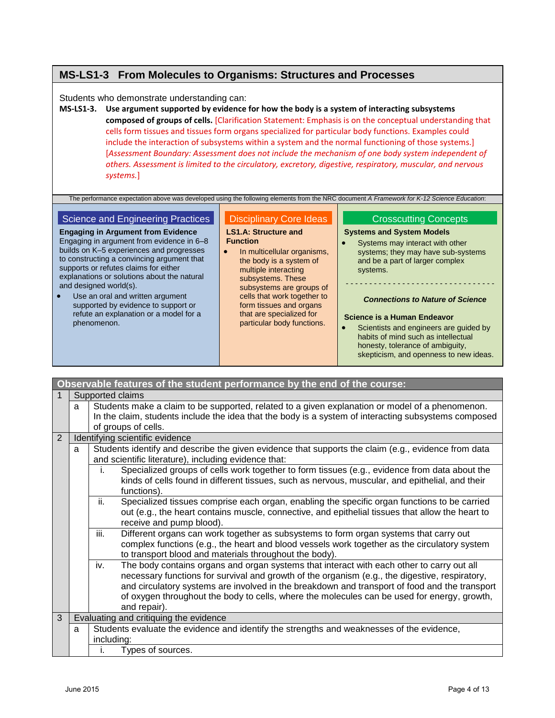# **MS-LS1-3 From Molecules to Organisms: Structures and Processes**

Students who demonstrate understanding can:

### **MS-LS1-3. Use argument supported by evidence for how the body is a system of interacting subsystems composed of groups of cells.** [Clarification Statement: Emphasis is on the conceptual understanding that cells form tissues and tissues form organs specialized for particular body functions. Examples could include the interaction of subsystems within a system and the normal functioning of those systems.] [*Assessment Boundary: Assessment does not include the mechanism of one body system independent of others. Assessment is limited to the circulatory, excretory, digestive, respiratory, muscular, and nervous systems.*]

The performance expectation above was developed using the following elements from the NRC document *A Framework for K-12 Science Education*:

### Science and Engineering Practices

**Engaging in Argument from Evidence** Engaging in argument from evidence in 6–8 builds on K–5 experiences and progresses to constructing a convincing argument that supports or refutes claims for either explanations or solutions about the natural and designed world(s).

 Use an oral and written argument supported by evidence to support or refute an explanation or a model for a phenomenon.

### Disciplinary Core Ideas

#### **LS1.A: Structure and Function**

• In multicellular organisms, the body is a system of multiple interacting subsystems. These subsystems are groups of cells that work together to form tissues and organs that are specialized for particular body functions.

# Crosscutting Concepts

### **Systems and System Models**

 Systems may interact with other systems; they may have sub-systems and be a part of larger complex systems.

### - - - - - - - - - - - - - - - - - - - - - - - - - - - - - - - - *Connections to Nature of Science*

#### **Science is a Human Endeavor**

 Scientists and engineers are guided by habits of mind such as intellectual honesty, tolerance of ambiguity, skepticism, and openness to new ideas.

|                | Observable features of the student performance by the end of the course:                                                                                                                                                                                                                                                                                                                                           |                                                                                                                                                                                                                                                         |  |  |  |
|----------------|--------------------------------------------------------------------------------------------------------------------------------------------------------------------------------------------------------------------------------------------------------------------------------------------------------------------------------------------------------------------------------------------------------------------|---------------------------------------------------------------------------------------------------------------------------------------------------------------------------------------------------------------------------------------------------------|--|--|--|
| 1              |                                                                                                                                                                                                                                                                                                                                                                                                                    | Supported claims                                                                                                                                                                                                                                        |  |  |  |
|                | a                                                                                                                                                                                                                                                                                                                                                                                                                  | Students make a claim to be supported, related to a given explanation or model of a phenomenon.                                                                                                                                                         |  |  |  |
|                |                                                                                                                                                                                                                                                                                                                                                                                                                    | In the claim, students include the idea that the body is a system of interacting subsystems composed                                                                                                                                                    |  |  |  |
|                |                                                                                                                                                                                                                                                                                                                                                                                                                    | of groups of cells.                                                                                                                                                                                                                                     |  |  |  |
| $\overline{2}$ |                                                                                                                                                                                                                                                                                                                                                                                                                    | Identifying scientific evidence                                                                                                                                                                                                                         |  |  |  |
|                | a                                                                                                                                                                                                                                                                                                                                                                                                                  | Students identify and describe the given evidence that supports the claim (e.g., evidence from data<br>and scientific literature), including evidence that:                                                                                             |  |  |  |
|                |                                                                                                                                                                                                                                                                                                                                                                                                                    | Specialized groups of cells work together to form tissues (e.g., evidence from data about the<br>İ.<br>kinds of cells found in different tissues, such as nervous, muscular, and epithelial, and their<br>functions).                                   |  |  |  |
|                |                                                                                                                                                                                                                                                                                                                                                                                                                    | ii.<br>Specialized tissues comprise each organ, enabling the specific organ functions to be carried<br>out (e.g., the heart contains muscle, connective, and epithelial tissues that allow the heart to<br>receive and pump blood).                     |  |  |  |
|                |                                                                                                                                                                                                                                                                                                                                                                                                                    | iii.<br>Different organs can work together as subsystems to form organ systems that carry out<br>complex functions (e.g., the heart and blood vessels work together as the circulatory system<br>to transport blood and materials throughout the body). |  |  |  |
|                | iv.<br>The body contains organs and organ systems that interact with each other to carry out all<br>necessary functions for survival and growth of the organism (e.g., the digestive, respiratory,<br>and circulatory systems are involved in the breakdown and transport of food and the transport<br>of oxygen throughout the body to cells, where the molecules can be used for energy, growth,<br>and repair). |                                                                                                                                                                                                                                                         |  |  |  |
| 3              |                                                                                                                                                                                                                                                                                                                                                                                                                    | Evaluating and critiquing the evidence                                                                                                                                                                                                                  |  |  |  |
|                | a                                                                                                                                                                                                                                                                                                                                                                                                                  | Students evaluate the evidence and identify the strengths and weaknesses of the evidence,                                                                                                                                                               |  |  |  |
|                |                                                                                                                                                                                                                                                                                                                                                                                                                    | including:                                                                                                                                                                                                                                              |  |  |  |
|                |                                                                                                                                                                                                                                                                                                                                                                                                                    | Types of sources.<br>İ.                                                                                                                                                                                                                                 |  |  |  |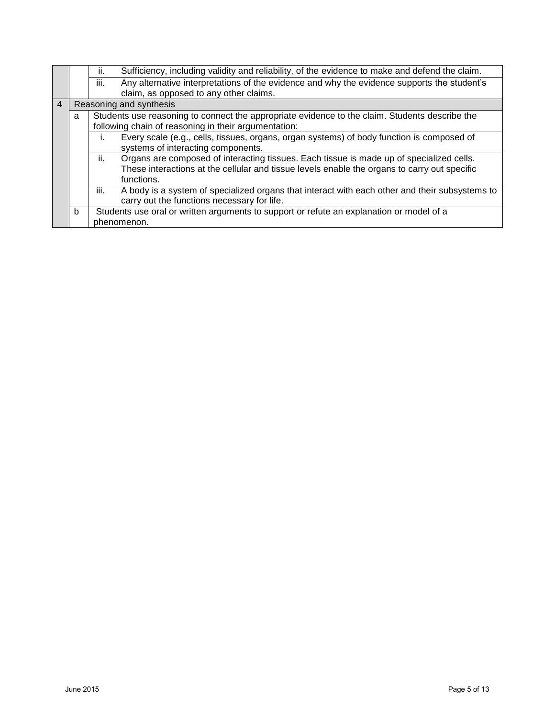|                |   | ii.                                                                                      | Sufficiency, including validity and reliability, of the evidence to make and defend the claim. |  |  |
|----------------|---|------------------------------------------------------------------------------------------|------------------------------------------------------------------------------------------------|--|--|
|                |   | iii.                                                                                     | Any alternative interpretations of the evidence and why the evidence supports the student's    |  |  |
|                |   | claim, as opposed to any other claims.                                                   |                                                                                                |  |  |
| $\overline{4}$ |   | Reasoning and synthesis                                                                  |                                                                                                |  |  |
|                | a |                                                                                          | Students use reasoning to connect the appropriate evidence to the claim. Students describe the |  |  |
|                |   |                                                                                          | following chain of reasoning in their argumentation:                                           |  |  |
|                |   | $\mathbf{L}$                                                                             | Every scale (e.g., cells, tissues, organs, organ systems) of body function is composed of      |  |  |
|                |   |                                                                                          | systems of interacting components.                                                             |  |  |
|                |   | ii.                                                                                      | Organs are composed of interacting tissues. Each tissue is made up of specialized cells.       |  |  |
|                |   |                                                                                          | These interactions at the cellular and tissue levels enable the organs to carry out specific   |  |  |
|                |   |                                                                                          | functions.                                                                                     |  |  |
|                |   | iii.                                                                                     | A body is a system of specialized organs that interact with each other and their subsystems to |  |  |
|                |   |                                                                                          | carry out the functions necessary for life.                                                    |  |  |
|                | b | Students use oral or written arguments to support or refute an explanation or model of a |                                                                                                |  |  |
|                |   |                                                                                          | phenomenon.                                                                                    |  |  |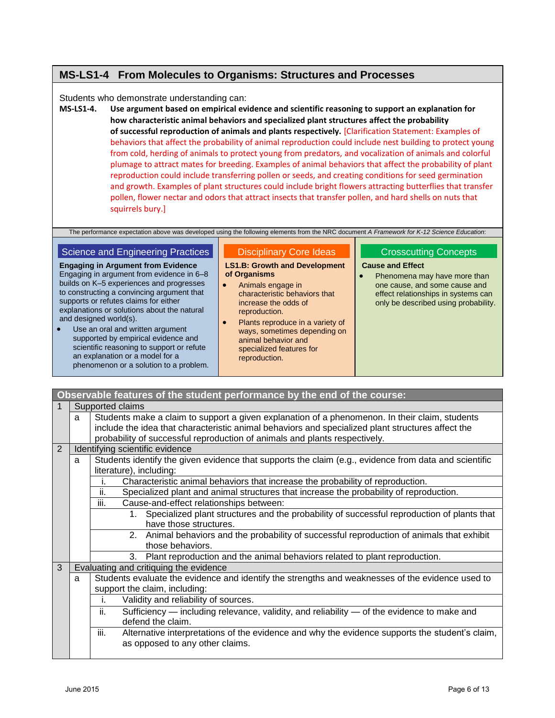# **MS-LS1-4 From Molecules to Organisms: Structures and Processes**

Students who demonstrate understanding can:

**MS-LS1-4. Use argument based on empirical evidence and scientific reasoning to support an explanation for how characteristic animal behaviors and specialized plant structures affect the probability of successful reproduction of animals and plants respectively.** [Clarification Statement: Examples of behaviors that affect the probability of animal reproduction could include nest building to protect young from cold, herding of animals to protect young from predators, and vocalization of animals and colorful plumage to attract mates for breeding. Examples of animal behaviors that affect the probability of plant reproduction could include transferring pollen or seeds, and creating conditions for seed germination and growth. Examples of plant structures could include bright flowers attracting butterflies that transfer pollen, flower nectar and odors that attract insects that transfer pollen, and hard shells on nuts that squirrels bury.]

The performance expectation above was developed using the following elements from the NRC document *A Framework for K-12 Science Education*:

### Science and Engineering Practices

**Engaging in Argument from Evidence** Engaging in argument from evidence in 6–8 builds on K–5 experiences and progresses to constructing a convincing argument that supports or refutes claims for either explanations or solutions about the natural and designed world(s).

• Use an oral and written argument supported by empirical evidence and scientific reasoning to support or refute an explanation or a model for a phenomenon or a solution to a problem.

### Disciplinary Core Ideas

**LS1.B: Growth and Development of Organisms**

- Animals engage in characteristic behaviors that increase the odds of reproduction.
- Plants reproduce in a variety of ways, sometimes depending on animal behavior and specialized features for reproduction.

### Crosscutting Concepts

**Cause and Effect**

• Phenomena may have more than one cause, and some cause and effect relationships in systems can only be described using probability.

|                        | Observable features of the student performance by the end of the course:                                                              |                                                                                                                                                                                                                                                                                   |  |  |  |
|------------------------|---------------------------------------------------------------------------------------------------------------------------------------|-----------------------------------------------------------------------------------------------------------------------------------------------------------------------------------------------------------------------------------------------------------------------------------|--|--|--|
|                        |                                                                                                                                       | Supported claims                                                                                                                                                                                                                                                                  |  |  |  |
|                        | a                                                                                                                                     | Students make a claim to support a given explanation of a phenomenon. In their claim, students<br>include the idea that characteristic animal behaviors and specialized plant structures affect the<br>probability of successful reproduction of animals and plants respectively. |  |  |  |
| 2                      |                                                                                                                                       | Identifying scientific evidence                                                                                                                                                                                                                                                   |  |  |  |
|                        | Students identify the given evidence that supports the claim (e.g., evidence from data and scientific<br>a<br>literature), including: |                                                                                                                                                                                                                                                                                   |  |  |  |
|                        |                                                                                                                                       | Characteristic animal behaviors that increase the probability of reproduction.<br>i.                                                                                                                                                                                              |  |  |  |
|                        |                                                                                                                                       | ii.<br>Specialized plant and animal structures that increase the probability of reproduction.                                                                                                                                                                                     |  |  |  |
|                        |                                                                                                                                       | iii.<br>Cause-and-effect relationships between:                                                                                                                                                                                                                                   |  |  |  |
| have those structures. |                                                                                                                                       | 1. Specialized plant structures and the probability of successful reproduction of plants that                                                                                                                                                                                     |  |  |  |
|                        |                                                                                                                                       | 2. Animal behaviors and the probability of successful reproduction of animals that exhibit<br>those behaviors.                                                                                                                                                                    |  |  |  |
|                        |                                                                                                                                       | 3. Plant reproduction and the animal behaviors related to plant reproduction.                                                                                                                                                                                                     |  |  |  |
| 3                      |                                                                                                                                       | Evaluating and critiquing the evidence                                                                                                                                                                                                                                            |  |  |  |
|                        | a                                                                                                                                     | Students evaluate the evidence and identify the strengths and weaknesses of the evidence used to<br>support the claim, including:                                                                                                                                                 |  |  |  |
|                        | Validity and reliability of sources.<br>i.                                                                                            |                                                                                                                                                                                                                                                                                   |  |  |  |
|                        |                                                                                                                                       | Sufficiency — including relevance, validity, and reliability — of the evidence to make and<br>ii.<br>defend the claim.                                                                                                                                                            |  |  |  |
|                        |                                                                                                                                       | iii.<br>Alternative interpretations of the evidence and why the evidence supports the student's claim,<br>as opposed to any other claims.                                                                                                                                         |  |  |  |
|                        |                                                                                                                                       |                                                                                                                                                                                                                                                                                   |  |  |  |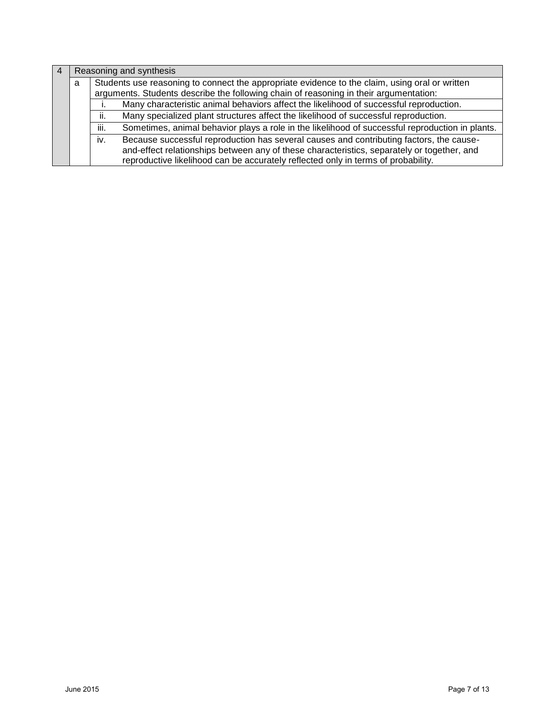|     | Reasoning and synthesis |                                                                                                                                                                                       |  |  |
|-----|-------------------------|---------------------------------------------------------------------------------------------------------------------------------------------------------------------------------------|--|--|
|     | a                       | Students use reasoning to connect the appropriate evidence to the claim, using oral or written                                                                                        |  |  |
|     |                         | arguments. Students describe the following chain of reasoning in their argumentation:                                                                                                 |  |  |
|     |                         | Many characteristic animal behaviors affect the likelihood of successful reproduction.                                                                                                |  |  |
|     |                         | Many specialized plant structures affect the likelihood of successful reproduction.<br>ii.                                                                                            |  |  |
|     |                         | Sometimes, animal behavior plays a role in the likelihood of successful reproduction in plants.<br>iii.                                                                               |  |  |
| iv. |                         | Because successful reproduction has several causes and contributing factors, the cause-<br>and-effect relationships between any of these characteristics, separately or together, and |  |  |
|     |                         | reproductive likelihood can be accurately reflected only in terms of probability.                                                                                                     |  |  |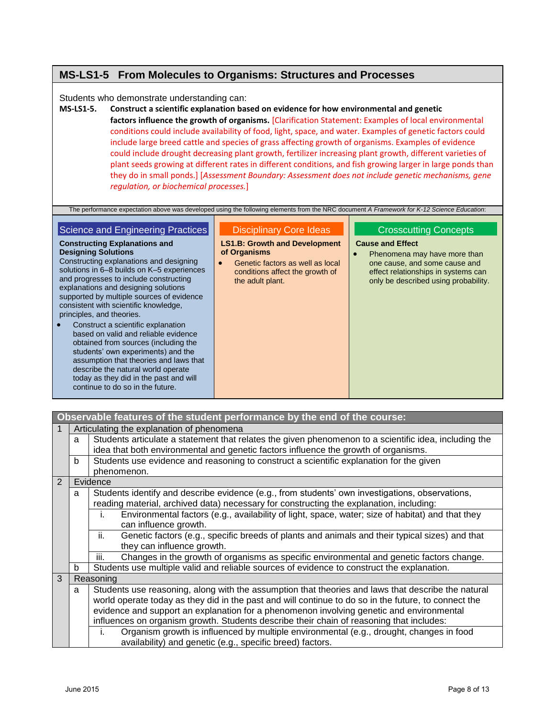# **MS-LS1-5 From Molecules to Organisms: Structures and Processes**

### Students who demonstrate understanding can:

**MS-LS1-5. Construct a scientific explanation based on evidence for how environmental and genetic factors influence the growth of organisms.** [Clarification Statement: Examples of local environmental conditions could include availability of food, light, space, and water. Examples of genetic factors could include large breed cattle and species of grass affecting growth of organisms. Examples of evidence could include drought decreasing plant growth, fertilizer increasing plant growth, different varieties of plant seeds growing at different rates in different conditions, and fish growing larger in large ponds than they do in small ponds.] [*Assessment Boundary: Assessment does not include genetic mechanisms, gene regulation, or biochemical processes.*]

The performance expectation above was developed using the following elements from the NRC document *A Framework for K-12 Science Education*:

#### Science and Engineering Practices

#### **Constructing Explanations and Designing Solutions**

Constructing explanations and designing solutions in 6–8 builds on K–5 experiences and progresses to include constructing explanations and designing solutions supported by multiple sources of evidence consistent with scientific knowledge, principles, and theories.

 Construct a scientific explanation based on valid and reliable evidence obtained from sources (including the students' own experiments) and the assumption that theories and laws that describe the natural world operate today as they did in the past and will continue to do so in the future.

### Disciplinary Core Ideas

**LS1.B: Growth and Development of Organisms**

 Genetic factors as well as local conditions affect the growth of the adult plant.

### Crosscutting Concepts

### **Cause and Effect**

• Phenomena may have more than one cause, and some cause and effect relationships in systems can only be described using probability.

|   |                                                                                                                                                                                                   | Observable features of the student performance by the end of the course:                                                                                                                                                                                                                                                                                                                           |  |  |  |
|---|---------------------------------------------------------------------------------------------------------------------------------------------------------------------------------------------------|----------------------------------------------------------------------------------------------------------------------------------------------------------------------------------------------------------------------------------------------------------------------------------------------------------------------------------------------------------------------------------------------------|--|--|--|
|   | Articulating the explanation of phenomena                                                                                                                                                         |                                                                                                                                                                                                                                                                                                                                                                                                    |  |  |  |
|   | Students articulate a statement that relates the given phenomenon to a scientific idea, including the<br>a<br>idea that both environmental and genetic factors influence the growth of organisms. |                                                                                                                                                                                                                                                                                                                                                                                                    |  |  |  |
|   | b                                                                                                                                                                                                 | Students use evidence and reasoning to construct a scientific explanation for the given                                                                                                                                                                                                                                                                                                            |  |  |  |
|   |                                                                                                                                                                                                   | phenomenon.                                                                                                                                                                                                                                                                                                                                                                                        |  |  |  |
| 2 |                                                                                                                                                                                                   | Evidence                                                                                                                                                                                                                                                                                                                                                                                           |  |  |  |
|   | Students identify and describe evidence (e.g., from students' own investigations, observations,<br>a<br>reading material, archived data) necessary for constructing the explanation, including:   |                                                                                                                                                                                                                                                                                                                                                                                                    |  |  |  |
|   | Environmental factors (e.g., availability of light, space, water; size of habitat) and that they<br>Ť.<br>can influence growth.                                                                   |                                                                                                                                                                                                                                                                                                                                                                                                    |  |  |  |
|   | Genetic factors (e.g., specific breeds of plants and animals and their typical sizes) and that<br>ii.<br>they can influence growth.                                                               |                                                                                                                                                                                                                                                                                                                                                                                                    |  |  |  |
|   | Changes in the growth of organisms as specific environmental and genetic factors change.<br>iii.                                                                                                  |                                                                                                                                                                                                                                                                                                                                                                                                    |  |  |  |
|   | b                                                                                                                                                                                                 | Students use multiple valid and reliable sources of evidence to construct the explanation.                                                                                                                                                                                                                                                                                                         |  |  |  |
| 3 |                                                                                                                                                                                                   | Reasoning                                                                                                                                                                                                                                                                                                                                                                                          |  |  |  |
|   | a                                                                                                                                                                                                 | Students use reasoning, along with the assumption that theories and laws that describe the natural<br>world operate today as they did in the past and will continue to do so in the future, to connect the<br>evidence and support an explanation for a phenomenon involving genetic and environmental<br>influences on organism growth. Students describe their chain of reasoning that includes: |  |  |  |
|   |                                                                                                                                                                                                   | Organism growth is influenced by multiple environmental (e.g., drought, changes in food<br>Τ.<br>availability) and genetic (e.g., specific breed) factors.                                                                                                                                                                                                                                         |  |  |  |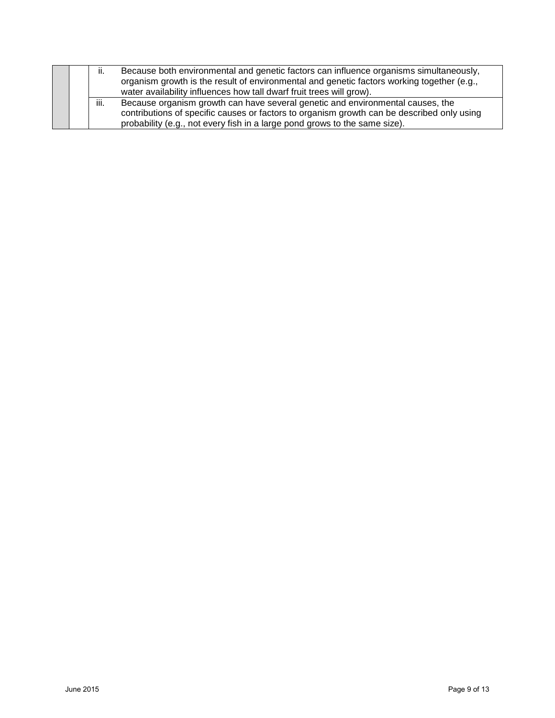|  | ii.  | Because both environmental and genetic factors can influence organisms simultaneously,<br>organism growth is the result of environmental and genetic factors working together (e.g.,<br>water availability influences how tall dwarf fruit trees will grow). |
|--|------|--------------------------------------------------------------------------------------------------------------------------------------------------------------------------------------------------------------------------------------------------------------|
|  | iii. | Because organism growth can have several genetic and environmental causes, the<br>contributions of specific causes or factors to organism growth can be described only using<br>probability (e.g., not every fish in a large pond grows to the same size).   |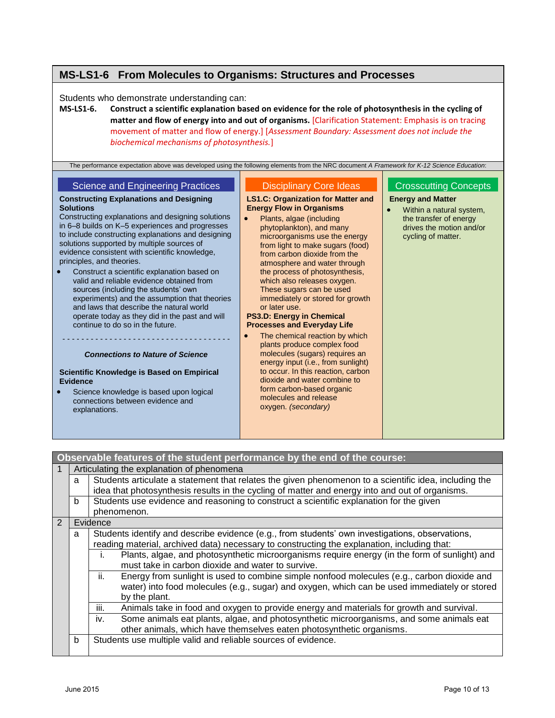# **MS-LS1-6 From Molecules to Organisms: Structures and Processes**

Students who demonstrate understanding can:

**MS-LS1-6. Construct a scientific explanation based on evidence for the role of photosynthesis in the cycling of matter and flow of energy into and out of organisms.** [Clarification Statement: Emphasis is on tracing movement of matter and flow of energy.] [*Assessment Boundary: Assessment does not include the biochemical mechanisms of photosynthesis.*]



|                                                                                              | Observable features of the student performance by the end of the course:                                   |                                                                                                   |  |  |  |  |
|----------------------------------------------------------------------------------------------|------------------------------------------------------------------------------------------------------------|---------------------------------------------------------------------------------------------------|--|--|--|--|
|                                                                                              |                                                                                                            | Articulating the explanation of phenomena                                                         |  |  |  |  |
|                                                                                              | Students articulate a statement that relates the given phenomenon to a scientific idea, including the<br>a |                                                                                                   |  |  |  |  |
|                                                                                              | idea that photosynthesis results in the cycling of matter and energy into and out of organisms.            |                                                                                                   |  |  |  |  |
| Students use evidence and reasoning to construct a scientific explanation for the given<br>b |                                                                                                            |                                                                                                   |  |  |  |  |
|                                                                                              |                                                                                                            | phenomenon.                                                                                       |  |  |  |  |
| $\mathcal{P}$                                                                                |                                                                                                            | Evidence                                                                                          |  |  |  |  |
|                                                                                              | a                                                                                                          | Students identify and describe evidence (e.g., from students' own investigations, observations,   |  |  |  |  |
|                                                                                              |                                                                                                            | reading material, archived data) necessary to constructing the explanation, including that:       |  |  |  |  |
|                                                                                              | Plants, algae, and photosynthetic microorganisms require energy (in the form of sunlight) and<br>İ.        |                                                                                                   |  |  |  |  |
|                                                                                              | must take in carbon dioxide and water to survive.                                                          |                                                                                                   |  |  |  |  |
|                                                                                              |                                                                                                            | ii.<br>Energy from sunlight is used to combine simple nonfood molecules (e.g., carbon dioxide and |  |  |  |  |
|                                                                                              |                                                                                                            | water) into food molecules (e.g., sugar) and oxygen, which can be used immediately or stored      |  |  |  |  |
|                                                                                              |                                                                                                            | by the plant.                                                                                     |  |  |  |  |
|                                                                                              | iii.<br>Animals take in food and oxygen to provide energy and materials for growth and survival.           |                                                                                                   |  |  |  |  |
|                                                                                              | Some animals eat plants, algae, and photosynthetic microorganisms, and some animals eat<br>iv.             |                                                                                                   |  |  |  |  |
|                                                                                              | other animals, which have themselves eaten photosynthetic organisms.                                       |                                                                                                   |  |  |  |  |
|                                                                                              | Students use multiple valid and reliable sources of evidence.<br>b                                         |                                                                                                   |  |  |  |  |
|                                                                                              |                                                                                                            |                                                                                                   |  |  |  |  |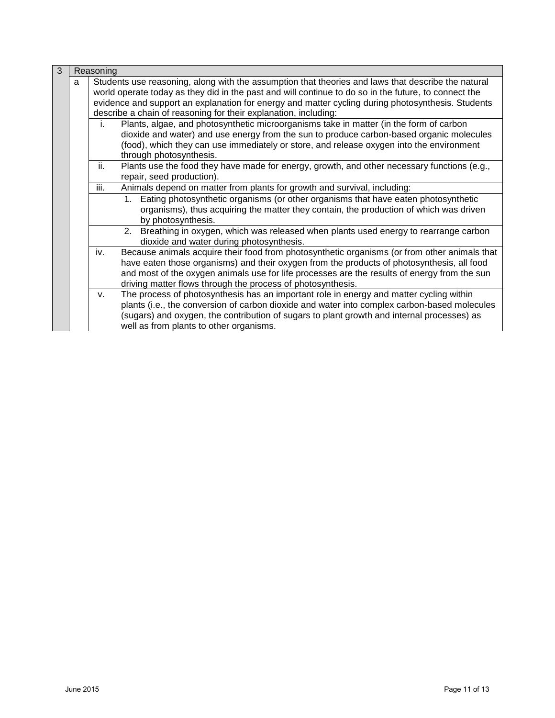| 3                                                                                                                               |   | Reasoning                                                                                                                                                                                                                                                                                                                                                                          |  |
|---------------------------------------------------------------------------------------------------------------------------------|---|------------------------------------------------------------------------------------------------------------------------------------------------------------------------------------------------------------------------------------------------------------------------------------------------------------------------------------------------------------------------------------|--|
|                                                                                                                                 | a | Students use reasoning, along with the assumption that theories and laws that describe the natural<br>world operate today as they did in the past and will continue to do so in the future, to connect the<br>evidence and support an explanation for energy and matter cycling during photosynthesis. Students<br>describe a chain of reasoning for their explanation, including: |  |
|                                                                                                                                 |   | Plants, algae, and photosynthetic microorganisms take in matter (in the form of carbon<br>i.<br>dioxide and water) and use energy from the sun to produce carbon-based organic molecules<br>(food), which they can use immediately or store, and release oxygen into the environment<br>through photosynthesis.                                                                    |  |
| Plants use the food they have made for energy, growth, and other necessary functions (e.g.,<br>ii.<br>repair, seed production). |   |                                                                                                                                                                                                                                                                                                                                                                                    |  |
| iii.<br>Animals depend on matter from plants for growth and survival, including:                                                |   |                                                                                                                                                                                                                                                                                                                                                                                    |  |
|                                                                                                                                 |   | Eating photosynthetic organisms (or other organisms that have eaten photosynthetic<br>1.<br>organisms), thus acquiring the matter they contain, the production of which was driven<br>by photosynthesis.                                                                                                                                                                           |  |
|                                                                                                                                 |   | 2. Breathing in oxygen, which was released when plants used energy to rearrange carbon<br>dioxide and water during photosynthesis.                                                                                                                                                                                                                                                 |  |
|                                                                                                                                 |   | Because animals acquire their food from photosynthetic organisms (or from other animals that<br>iv.<br>have eaten those organisms) and their oxygen from the products of photosynthesis, all food<br>and most of the oxygen animals use for life processes are the results of energy from the sun<br>driving matter flows through the process of photosynthesis.                   |  |
|                                                                                                                                 |   | The process of photosynthesis has an important role in energy and matter cycling within<br>v.<br>plants (i.e., the conversion of carbon dioxide and water into complex carbon-based molecules<br>(sugars) and oxygen, the contribution of sugars to plant growth and internal processes) as<br>well as from plants to other organisms.                                             |  |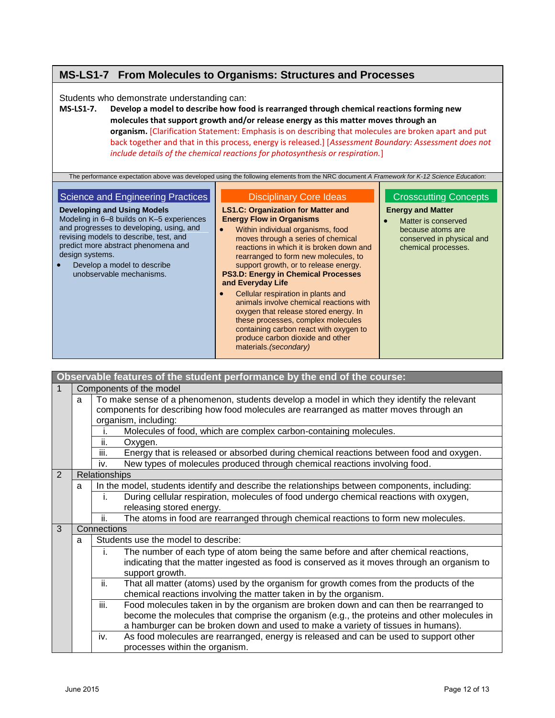# **MS-LS1-7 From Molecules to Organisms: Structures and Processes**

Students who demonstrate understanding can:

**MS-LS1-7. Develop a model to describe how food is rearranged through chemical reactions forming new molecules that support growth and/or release energy as this matter moves through an organism.** [Clarification Statement: Emphasis is on describing that molecules are broken apart and put back together and that in this process, energy is released.] [*Assessment Boundary: Assessment does not include details of the chemical reactions for photosynthesis or respiration.*]

| The performance expectation above was developed using the following elements from the NRC document A Framework for K-12 Science Education:                                                                                                                                                                               |                                                                                                                                                                                                                                                                                                                                                                                                                                              |                                                                                                                                                          |  |  |  |  |  |
|--------------------------------------------------------------------------------------------------------------------------------------------------------------------------------------------------------------------------------------------------------------------------------------------------------------------------|----------------------------------------------------------------------------------------------------------------------------------------------------------------------------------------------------------------------------------------------------------------------------------------------------------------------------------------------------------------------------------------------------------------------------------------------|----------------------------------------------------------------------------------------------------------------------------------------------------------|--|--|--|--|--|
| Science and Engineering Practices<br>Developing and Using Models<br>Modeling in 6–8 builds on K–5 experiences<br>and progresses to developing, using, and<br>revising models to describe, test, and<br>predict more abstract phenomena and<br>design systems.<br>Develop a model to describe<br>unobservable mechanisms. | <b>Disciplinary Core Ideas</b><br><b>LS1.C: Organization for Matter and</b><br><b>Energy Flow in Organisms</b><br>Within individual organisms, food<br>$\bullet$<br>moves through a series of chemical<br>reactions in which it is broken down and<br>rearranged to form new molecules, to<br>support growth, or to release energy.<br><b>PS3.D: Energy in Chemical Processes</b><br>and Everyday Life<br>Cellular respiration in plants and | <b>Crosscutting Concepts</b><br><b>Energy and Matter</b><br>Matter is conserved<br>because atoms are<br>conserved in physical and<br>chemical processes. |  |  |  |  |  |
|                                                                                                                                                                                                                                                                                                                          | animals involve chemical reactions with<br>oxygen that release stored energy. In<br>these processes, complex molecules<br>containing carbon react with oxygen to<br>produce carbon dioxide and other<br>materials. (secondary)                                                                                                                                                                                                               |                                                                                                                                                          |  |  |  |  |  |

| Observable features of the student performance by the end of the course: |                                                                         |                                                                                             |                                                                                               |  |  |  |
|--------------------------------------------------------------------------|-------------------------------------------------------------------------|---------------------------------------------------------------------------------------------|-----------------------------------------------------------------------------------------------|--|--|--|
| 1                                                                        | Components of the model                                                 |                                                                                             |                                                                                               |  |  |  |
|                                                                          | a                                                                       | To make sense of a phenomenon, students develop a model in which they identify the relevant |                                                                                               |  |  |  |
|                                                                          |                                                                         | components for describing how food molecules are rearranged as matter moves through an      |                                                                                               |  |  |  |
|                                                                          |                                                                         | organism, including:                                                                        |                                                                                               |  |  |  |
|                                                                          | Molecules of food, which are complex carbon-containing molecules.<br>i. |                                                                                             |                                                                                               |  |  |  |
| ii.<br>Oxygen.                                                           |                                                                         |                                                                                             |                                                                                               |  |  |  |
|                                                                          |                                                                         | iii.                                                                                        | Energy that is released or absorbed during chemical reactions between food and oxygen.        |  |  |  |
|                                                                          |                                                                         | iv.                                                                                         | New types of molecules produced through chemical reactions involving food.                    |  |  |  |
| 2                                                                        | Relationships                                                           |                                                                                             |                                                                                               |  |  |  |
|                                                                          | a                                                                       |                                                                                             | In the model, students identify and describe the relationships between components, including: |  |  |  |
|                                                                          |                                                                         | I.                                                                                          | During cellular respiration, molecules of food undergo chemical reactions with oxygen,        |  |  |  |
|                                                                          |                                                                         |                                                                                             | releasing stored energy.                                                                      |  |  |  |
|                                                                          |                                                                         | ii.                                                                                         | The atoms in food are rearranged through chemical reactions to form new molecules.            |  |  |  |
| 3                                                                        |                                                                         | Connections                                                                                 |                                                                                               |  |  |  |
|                                                                          | a                                                                       |                                                                                             | Students use the model to describe:                                                           |  |  |  |
|                                                                          |                                                                         | Ť.                                                                                          | The number of each type of atom being the same before and after chemical reactions,           |  |  |  |
|                                                                          |                                                                         |                                                                                             | indicating that the matter ingested as food is conserved as it moves through an organism to   |  |  |  |
| support growth.                                                          |                                                                         |                                                                                             |                                                                                               |  |  |  |
|                                                                          |                                                                         | ii.                                                                                         | That all matter (atoms) used by the organism for growth comes from the products of the        |  |  |  |
|                                                                          |                                                                         |                                                                                             | chemical reactions involving the matter taken in by the organism.                             |  |  |  |
|                                                                          |                                                                         | iii.                                                                                        | Food molecules taken in by the organism are broken down and can then be rearranged to         |  |  |  |
|                                                                          |                                                                         |                                                                                             | become the molecules that comprise the organism (e.g., the proteins and other molecules in    |  |  |  |
|                                                                          |                                                                         |                                                                                             | a hamburger can be broken down and used to make a variety of tissues in humans).              |  |  |  |
|                                                                          |                                                                         | iv.                                                                                         | As food molecules are rearranged, energy is released and can be used to support other         |  |  |  |
|                                                                          |                                                                         |                                                                                             | processes within the organism.                                                                |  |  |  |